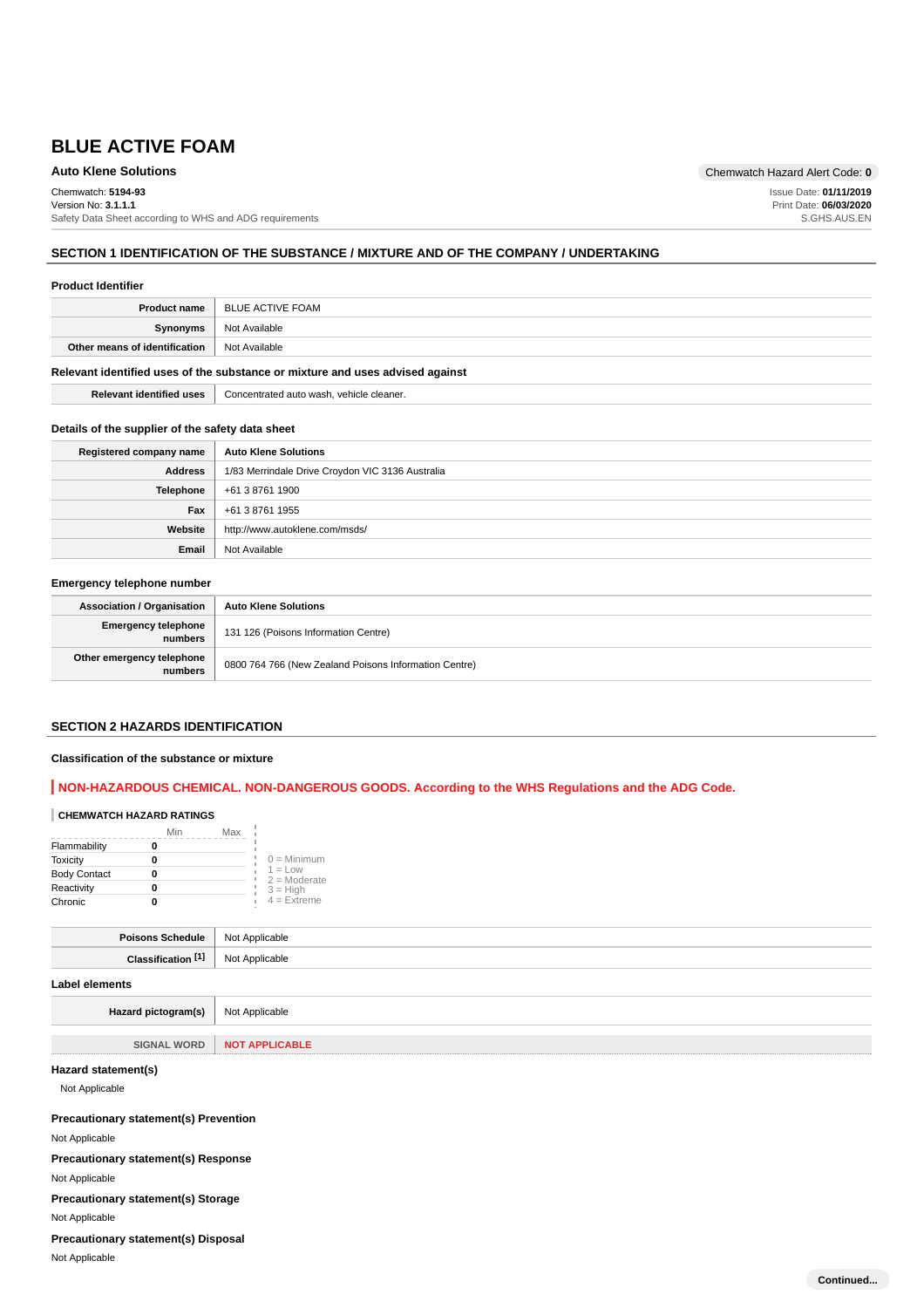Chemwatch: **5194-93**

Version No: **3.1.1.1** Safety Data Sheet according to WHS and ADG requirements

#### **SECTION 1 IDENTIFICATION OF THE SUBSTANCE / MIXTURE AND OF THE COMPANY / UNDERTAKING**

#### **Product Identifier**

| <b>Product name</b>                                                           | BLUE ACTIVE FOAM |
|-------------------------------------------------------------------------------|------------------|
| Synonyms                                                                      | Not Available    |
| Other means of identification                                                 | Not Available    |
| Relevant identified uses of the substance or mixture and uses advised against |                  |

**Relevant identified uses** Concentrated auto wash, vehicle cleaner.

#### **Details of the supplier of the safety data sheet**

| Registered company name | <b>Auto Klene Solutions</b>                      |
|-------------------------|--------------------------------------------------|
| Address                 | 1/83 Merrindale Drive Croydon VIC 3136 Australia |
| <b>Telephone</b>        | +61 3 8761 1900                                  |
| Fax                     | +61 3 8761 1955                                  |
| Website                 | http://www.autoklene.com/msds/                   |
| Email                   | Not Available                                    |

## **Emergency telephone number**

| <b>Association / Organisation</b>    | <b>Auto Klene Solutions</b>                           |
|--------------------------------------|-------------------------------------------------------|
| Emergency telephone<br>numbers       | 131 126 (Poisons Information Centre)                  |
| Other emergency telephone<br>numbers | 0800 764 766 (New Zealand Poisons Information Centre) |

## **SECTION 2 HAZARDS IDENTIFICATION**

#### **Classification of the substance or mixture**

# **NON-HAZARDOUS CHEMICAL. NON-DANGEROUS GOODS. According to the WHS Regulations and the ADG Code.**

#### **CHEMWATCH HAZARD RATINGS**

|                     | Min | Max |                             |
|---------------------|-----|-----|-----------------------------|
| Flammability        |     |     |                             |
| <b>Toxicity</b>     |     |     | $0 =$ Minimum               |
| <b>Body Contact</b> |     |     | $1 = Low$<br>$2 =$ Moderate |
| Reactivity          |     |     | $3 = High$                  |
| Chronic             |     |     | $4$ = Extreme               |

| <b>Doicon</b> | able<br>$\Lambda$ nnlu<br>טיי |
|---------------|-------------------------------|
|               |                               |
|               |                               |

#### **Label elements**

Hazard pictogram(s) Not Applicable

**SIGNAL WORD NOT APPLICABLE**

# **Hazard statement(s)**

Not Applicable

**Precautionary statement(s) Prevention**

Not Applicable

**Precautionary statement(s) Response**

Not Applicable

**Precautionary statement(s) Storage**

Not Applicable

**Precautionary statement(s) Disposal**

Not Applicable

**Auto Klene Solutions** Chemwatch Hazard Alert Code: **0**

Issue Date: **01/11/2019** Print Date: **06/03/2020** S.GHS.AUS.EN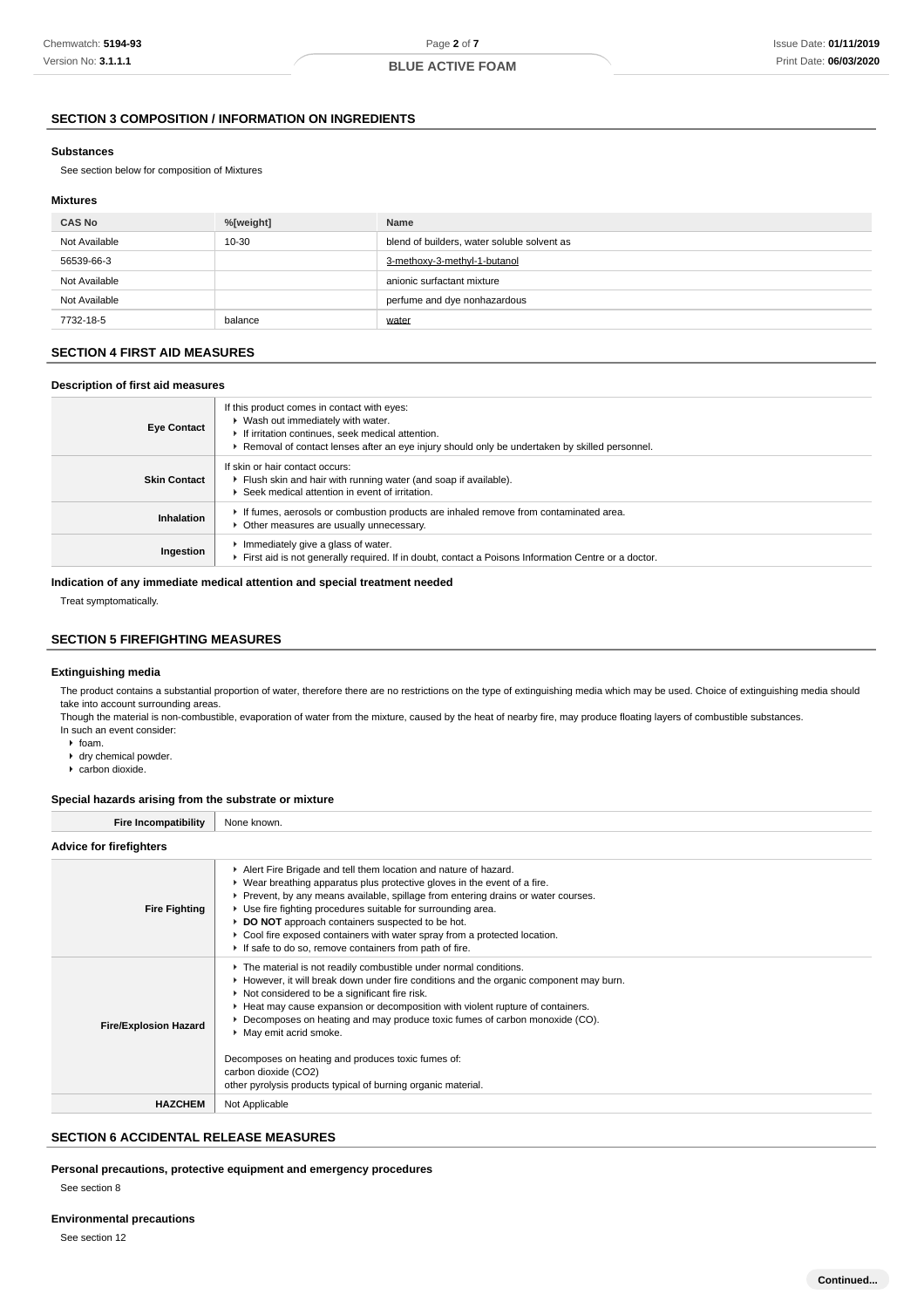# **SECTION 3 COMPOSITION / INFORMATION ON INGREDIENTS**

#### **Substances**

See section below for composition of Mixtures

## **Mixtures**

| <b>CAS No</b> | %[weight] | Name                                        |
|---------------|-----------|---------------------------------------------|
| Not Available | 10-30     | blend of builders, water soluble solvent as |
| 56539-66-3    |           | 3-methoxy-3-methyl-1-butanol                |
| Not Available |           | anionic surfactant mixture                  |
| Not Available |           | perfume and dye nonhazardous                |
| 7732-18-5     | balance   | water                                       |

## **SECTION 4 FIRST AID MEASURES**

# **Description of first aid measures**

| <b>Eye Contact</b>  | If this product comes in contact with eyes:<br>▶ Wash out immediately with water.<br>If irritation continues, seek medical attention.<br>▶ Removal of contact lenses after an eye injury should only be undertaken by skilled personnel. |
|---------------------|------------------------------------------------------------------------------------------------------------------------------------------------------------------------------------------------------------------------------------------|
| <b>Skin Contact</b> | If skin or hair contact occurs:<br>Filush skin and hair with running water (and soap if available).<br>▶ Seek medical attention in event of irritation.                                                                                  |
| <b>Inhalation</b>   | If fumes, aerosols or combustion products are inhaled remove from contaminated area.<br>• Other measures are usually unnecessary.                                                                                                        |
| Ingestion           | Immediately give a glass of water.<br>First aid is not generally required. If in doubt, contact a Poisons Information Centre or a doctor.                                                                                                |

# **Indication of any immediate medical attention and special treatment needed**

Treat symptomatically.

# **SECTION 5 FIREFIGHTING MEASURES**

## **Extinguishing media**

The product contains a substantial proportion of water, therefore there are no restrictions on the type of extinguishing media which may be used. Choice of extinguishing media should take into account surrounding areas

Though the material is non-combustible, evaporation of water from the mixture, caused by the heat of nearby fire, may produce floating layers of combustible substances. In such an event consider:

- $\triangleright$  foam.
- dry chemical powder.
- carbon dioxide.

# **Special hazards arising from the substrate or mixture**

| <b>Fire Incompatibility</b>    | None known.                                                                                                                                                                                                                                                                                                                                                                                                                                                                                                                                                 |  |  |
|--------------------------------|-------------------------------------------------------------------------------------------------------------------------------------------------------------------------------------------------------------------------------------------------------------------------------------------------------------------------------------------------------------------------------------------------------------------------------------------------------------------------------------------------------------------------------------------------------------|--|--|
| <b>Advice for firefighters</b> |                                                                                                                                                                                                                                                                                                                                                                                                                                                                                                                                                             |  |  |
| <b>Fire Fighting</b>           | Alert Fire Brigade and tell them location and nature of hazard.<br>• Wear breathing apparatus plus protective gloves in the event of a fire.<br>▶ Prevent, by any means available, spillage from entering drains or water courses.<br>▶ Use fire fighting procedures suitable for surrounding area.<br>▶ DO NOT approach containers suspected to be hot.<br>• Cool fire exposed containers with water spray from a protected location.<br>If safe to do so, remove containers from path of fire.                                                            |  |  |
| <b>Fire/Explosion Hazard</b>   | The material is not readily combustible under normal conditions.<br>► However, it will break down under fire conditions and the organic component may burn.<br>▶ Not considered to be a significant fire risk.<br>► Heat may cause expansion or decomposition with violent rupture of containers.<br>► Decomposes on heating and may produce toxic fumes of carbon monoxide (CO).<br>• May emit acrid smoke.<br>Decomposes on heating and produces toxic fumes of:<br>carbon dioxide (CO2)<br>other pyrolysis products typical of burning organic material. |  |  |
| <b>HAZCHEM</b>                 | Not Applicable                                                                                                                                                                                                                                                                                                                                                                                                                                                                                                                                              |  |  |

# **SECTION 6 ACCIDENTAL RELEASE MEASURES**

# **Personal precautions, protective equipment and emergency procedures**

See section 8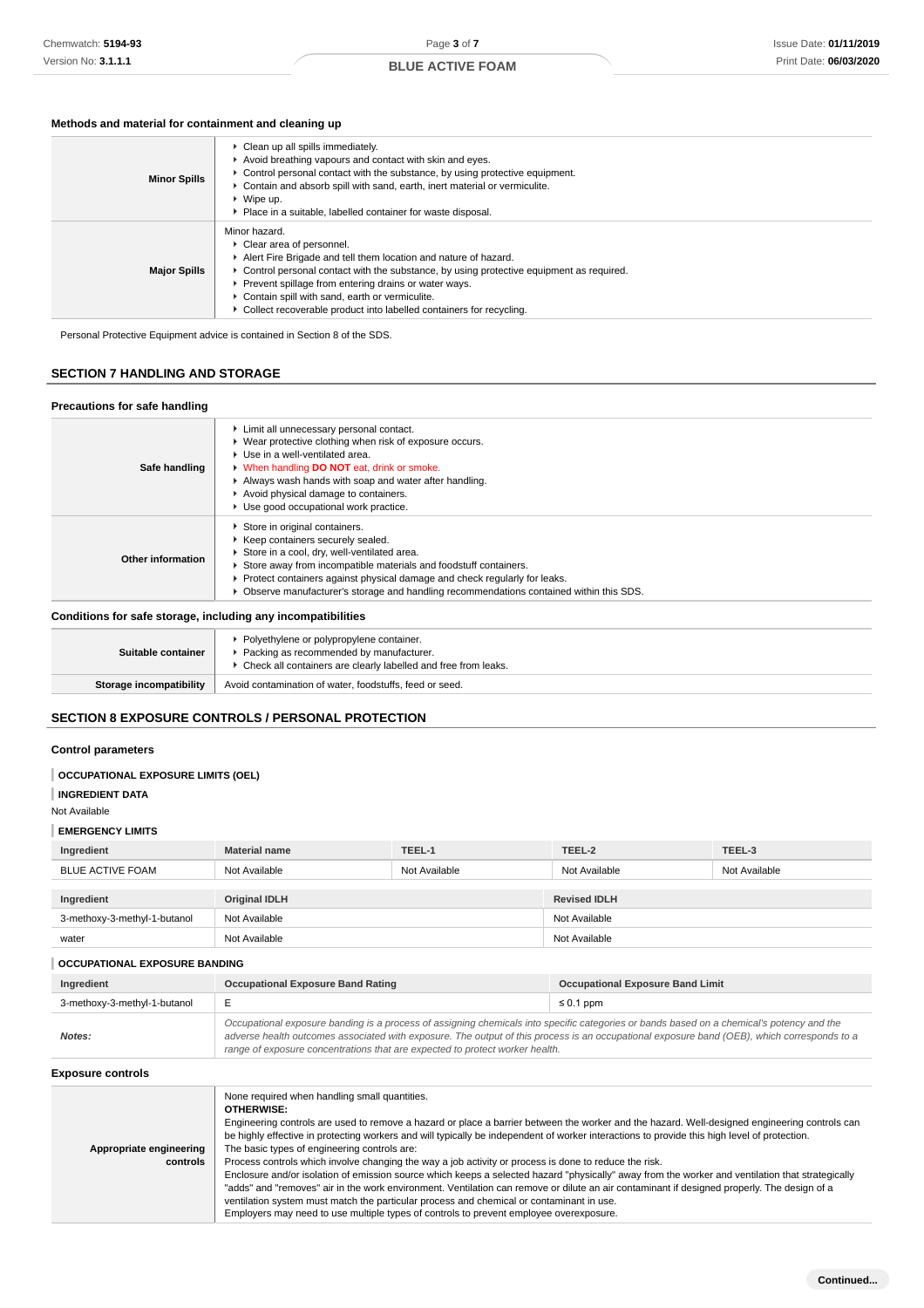# **Methods and material for containment and cleaning up**

| <b>Minor Spills</b> | • Clean up all spills immediately.<br>Avoid breathing vapours and contact with skin and eyes.<br>$\triangleright$ Control personal contact with the substance, by using protective equipment.<br>► Contain and absorb spill with sand, earth, inert material or vermiculite.<br>▶ Wipe up.<br>• Place in a suitable, labelled container for waste disposal.                                      |
|---------------------|--------------------------------------------------------------------------------------------------------------------------------------------------------------------------------------------------------------------------------------------------------------------------------------------------------------------------------------------------------------------------------------------------|
| <b>Major Spills</b> | Minor hazard.<br>▶ Clear area of personnel.<br>Alert Fire Brigade and tell them location and nature of hazard.<br>► Control personal contact with the substance, by using protective equipment as required.<br>▶ Prevent spillage from entering drains or water ways.<br>Contain spill with sand, earth or vermiculite.<br>► Collect recoverable product into labelled containers for recycling. |

Personal Protective Equipment advice is contained in Section 8 of the SDS.

# **SECTION 7 HANDLING AND STORAGE**

| Precautions for safe handling                                |                                                                                                                                                                                                                                                                                                                                                                   |
|--------------------------------------------------------------|-------------------------------------------------------------------------------------------------------------------------------------------------------------------------------------------------------------------------------------------------------------------------------------------------------------------------------------------------------------------|
| Safe handling                                                | Limit all unnecessary personal contact.<br>▶ Wear protective clothing when risk of exposure occurs.<br>▶ Use in a well-ventilated area.<br><b>No When handling DO NOT</b> eat, drink or smoke.<br>Always wash hands with soap and water after handling.<br>Avoid physical damage to containers.<br>Use good occupational work practice.                           |
| Other information                                            | Store in original containers.<br>▶ Keep containers securely sealed.<br>Store in a cool, dry, well-ventilated area.<br>Store away from incompatible materials and foodstuff containers.<br>▶ Protect containers against physical damage and check regularly for leaks.<br>• Observe manufacturer's storage and handling recommendations contained within this SDS. |
| Conditions for safe storage, including any incompatibilities |                                                                                                                                                                                                                                                                                                                                                                   |

| Suitable container      | • Polyethylene or polypropylene container.<br>Packing as recommended by manufacturer.<br>• Check all containers are clearly labelled and free from leaks. |
|-------------------------|-----------------------------------------------------------------------------------------------------------------------------------------------------------|
| Storage incompatibility | Avoid contamination of water, foodstuffs, feed or seed.                                                                                                   |

# **SECTION 8 EXPOSURE CONTROLS / PERSONAL PROTECTION**

# **Control parameters**

# **OCCUPATIONAL EXPOSURE LIMITS (OEL)**

| <b>INGREDIENT DATA</b> |  |
|------------------------|--|
|                        |  |

Not Available

## **EMERGENCY LIMITS**

| Ingredient                   | <b>Material name</b> | TEEL-1        | TEEL-2              | TEEL-3        |
|------------------------------|----------------------|---------------|---------------------|---------------|
| BLUE ACTIVE FOAM             | Not Available        | Not Available | Not Available       | Not Available |
|                              |                      |               |                     |               |
| Ingredient                   | <b>Original IDLH</b> |               | <b>Revised IDLH</b> |               |
| 3-methoxy-3-methyl-1-butanol | Not Available        |               | Not Available       |               |
| water                        | Not Available        |               | Not Available       |               |

#### **OCCUPATIONAL EXPOSURE BANDING**

| Ingredient                   | <b>Occupational Exposure Band Rating</b>                                                                                                                                                                                                                                                                                                                                 | <b>Occupational Exposure Band Limit</b> |
|------------------------------|--------------------------------------------------------------------------------------------------------------------------------------------------------------------------------------------------------------------------------------------------------------------------------------------------------------------------------------------------------------------------|-----------------------------------------|
| 3-methoxy-3-methyl-1-butanol |                                                                                                                                                                                                                                                                                                                                                                          | $\leq 0.1$ ppm                          |
| Notes:                       | Occupational exposure banding is a process of assigning chemicals into specific categories or bands based on a chemical's potency and the<br>adverse health outcomes associated with exposure. The output of this process is an occupational exposure band (OEB), which corresponds to a<br>range of exposure concentrations that are expected to protect worker health. |                                         |

## **Exposure controls**

|                         | None required when handling small quantities.<br><b>OTHERWISE:</b><br>Engineering controls are used to remove a hazard or place a barrier between the worker and the hazard. Well-designed engineering controls can<br>be highly effective in protecting workers and will typically be independent of worker interactions to provide this high level of protection.                                                                                                                   |
|-------------------------|---------------------------------------------------------------------------------------------------------------------------------------------------------------------------------------------------------------------------------------------------------------------------------------------------------------------------------------------------------------------------------------------------------------------------------------------------------------------------------------|
|                         | The basic types of engineering controls are:                                                                                                                                                                                                                                                                                                                                                                                                                                          |
| Appropriate engineering |                                                                                                                                                                                                                                                                                                                                                                                                                                                                                       |
| controls                | Process controls which involve changing the way a job activity or process is done to reduce the risk.                                                                                                                                                                                                                                                                                                                                                                                 |
|                         | Enclosure and/or isolation of emission source which keeps a selected hazard "physically" away from the worker and ventilation that strategically<br>"adds" and "removes" air in the work environment. Ventilation can remove or dilute an air contaminant if designed properly. The design of a<br>ventilation system must match the particular process and chemical or contaminant in use.<br>Employers may need to use multiple types of controls to prevent employee overexposure. |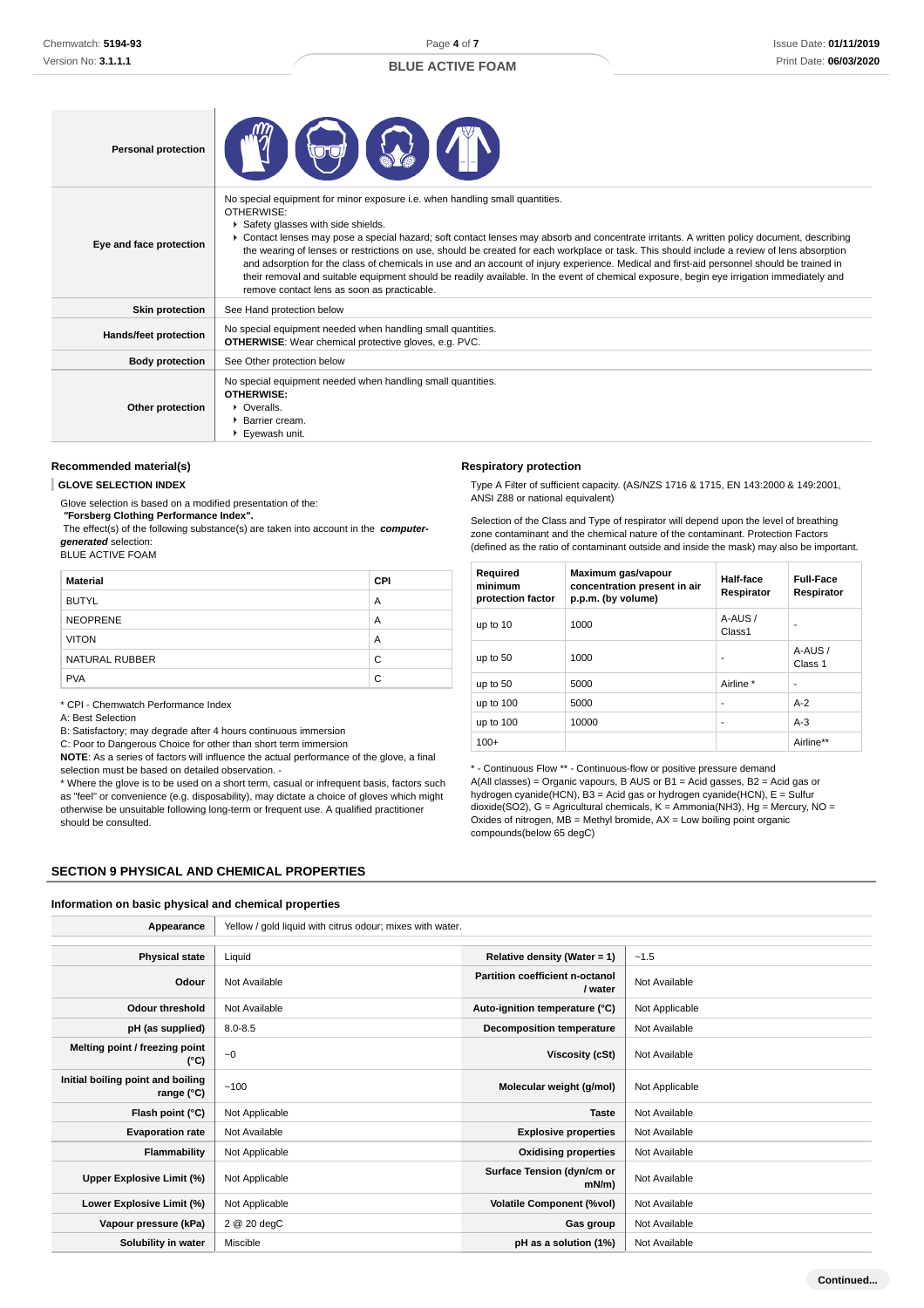Page **4** of **7**

# **BLUE ACTIVE FOAM**

| <b>Personal protection</b> |                                                                                                                                                                                                                                                                                                                                                                                                                                                                                                                                                                                                                                                                                                                                                                         |
|----------------------------|-------------------------------------------------------------------------------------------------------------------------------------------------------------------------------------------------------------------------------------------------------------------------------------------------------------------------------------------------------------------------------------------------------------------------------------------------------------------------------------------------------------------------------------------------------------------------------------------------------------------------------------------------------------------------------------------------------------------------------------------------------------------------|
| Eye and face protection    | No special equipment for minor exposure i.e. when handling small quantities.<br>OTHERWISE:<br>Safety glasses with side shields.<br>► Contact lenses may pose a special hazard; soft contact lenses may absorb and concentrate irritants. A written policy document, describing<br>the wearing of lenses or restrictions on use, should be created for each workplace or task. This should include a review of lens absorption<br>and adsorption for the class of chemicals in use and an account of injury experience. Medical and first-aid personnel should be trained in<br>their removal and suitable equipment should be readily available. In the event of chemical exposure, begin eye irrigation immediately and<br>remove contact lens as soon as practicable. |
| <b>Skin protection</b>     | See Hand protection below                                                                                                                                                                                                                                                                                                                                                                                                                                                                                                                                                                                                                                                                                                                                               |
| Hands/feet protection      | No special equipment needed when handling small quantities.<br><b>OTHERWISE:</b> Wear chemical protective gloves, e.g. PVC.                                                                                                                                                                                                                                                                                                                                                                                                                                                                                                                                                                                                                                             |
| <b>Body protection</b>     | See Other protection below                                                                                                                                                                                                                                                                                                                                                                                                                                                                                                                                                                                                                                                                                                                                              |
| Other protection           | No special equipment needed when handling small quantities.<br><b>OTHERWISE:</b><br>• Overalls.<br>$\blacktriangleright$ Barrier cream.<br>Eyewash unit.                                                                                                                                                                                                                                                                                                                                                                                                                                                                                                                                                                                                                |

## **Recommended material(s)**

**GLOVE SELECTION INDEX**

Glove selection is based on a modified presentation of the:

 **"Forsberg Clothing Performance Index".**

 The effect(s) of the following substance(s) are taken into account in the **computergenerated** selection:

# BLUE ACTIVE FOAM

| <b>Material</b> | <b>CPI</b> |
|-----------------|------------|
| <b>BUTYL</b>    | A          |
| <b>NEOPRENE</b> | A          |
| <b>VITON</b>    | A          |
| NATURAL RUBBER  | C          |
| <b>PVA</b>      | C          |

\* CPI - Chemwatch Performance Index

A: Best Selection

B: Satisfactory; may degrade after 4 hours continuous immersion

C: Poor to Dangerous Choice for other than short term immersion

**NOTE**: As a series of factors will influence the actual performance of the glove, a final selection must be based on detailed observation. -

\* Where the glove is to be used on a short term, casual or infrequent basis, factors such as "feel" or convenience (e.g. disposability), may dictate a choice of gloves which might otherwise be unsuitable following long-term or frequent use. A qualified practitioner should be consulted.

# **SECTION 9 PHYSICAL AND CHEMICAL PROPERTIES**

#### **Information on basic physical and chemical properties**

| Appearance                                      | Yellow / gold liquid with citrus odour; mixes with water. |                                            |                |
|-------------------------------------------------|-----------------------------------------------------------|--------------------------------------------|----------------|
|                                                 |                                                           |                                            |                |
| <b>Physical state</b>                           | Liquid                                                    | Relative density (Water = 1)               | $-1.5$         |
| Odour                                           | Not Available                                             | Partition coefficient n-octanol<br>/ water | Not Available  |
| <b>Odour threshold</b>                          | Not Available                                             | Auto-ignition temperature (°C)             | Not Applicable |
| pH (as supplied)                                | $8.0 - 8.5$                                               | <b>Decomposition temperature</b>           | Not Available  |
| Melting point / freezing point<br>(°C)          | ~1                                                        | Viscosity (cSt)                            | Not Available  |
| Initial boiling point and boiling<br>range (°C) | ~100                                                      | Molecular weight (g/mol)                   | Not Applicable |
| Flash point (°C)                                | Not Applicable                                            | <b>Taste</b>                               | Not Available  |
| <b>Evaporation rate</b>                         | Not Available                                             | <b>Explosive properties</b>                | Not Available  |
| Flammability                                    | Not Applicable                                            | <b>Oxidising properties</b>                | Not Available  |
| Upper Explosive Limit (%)                       | Not Applicable                                            | Surface Tension (dyn/cm or<br>$mN/m$ )     | Not Available  |
| Lower Explosive Limit (%)                       | Not Applicable                                            | <b>Volatile Component (%vol)</b>           | Not Available  |
| Vapour pressure (kPa)                           | 2 @ 20 degC                                               | Gas group                                  | Not Available  |
| Solubility in water                             | Miscible                                                  | pH as a solution (1%)                      | Not Available  |

**Respiratory protection**

Type A Filter of sufficient capacity. (AS/NZS 1716 & 1715, EN 143:2000 & 149:2001, ANSI Z88 or national equivalent)

Selection of the Class and Type of respirator will depend upon the level of breathing zone contaminant and the chemical nature of the contaminant. Protection Factors (defined as the ratio of contaminant outside and inside the mask) may also be important.

| Required<br>minimum<br>protection factor | Maximum gas/vapour<br>concentration present in air<br>p.p.m. (by volume) | Half-face<br>Respirator | <b>Full-Face</b><br>Respirator |
|------------------------------------------|--------------------------------------------------------------------------|-------------------------|--------------------------------|
| up to 10                                 | 1000                                                                     | A-AUS/<br>Class1        |                                |
| up to 50                                 | 1000                                                                     | ۰                       | A-AUS/<br>Class 1              |
| up to 50                                 | 5000                                                                     | Airline *               | ۰                              |
| up to 100                                | 5000                                                                     | -                       | $A-2$                          |
| up to $100$                              | 10000                                                                    | ٠                       | $A-3$                          |
| $100+$                                   |                                                                          |                         | Airline**                      |

\* - Continuous Flow \*\* - Continuous-flow or positive pressure demand A(All classes) = Organic vapours, B AUS or B1 = Acid gasses, B2 = Acid gas or hydrogen cyanide(HCN), B3 = Acid gas or hydrogen cyanide(HCN), E = Sulfur  $\frac{d}{dx}$  dioxide(SO2), G = Agricultural chemicals, K = Ammonia(NH3), Hg = Mercury, NO = Oxides of nitrogen,  $MB =$  Methyl bromide,  $AX =$  Low boiling point organic compounds(below 65 degC)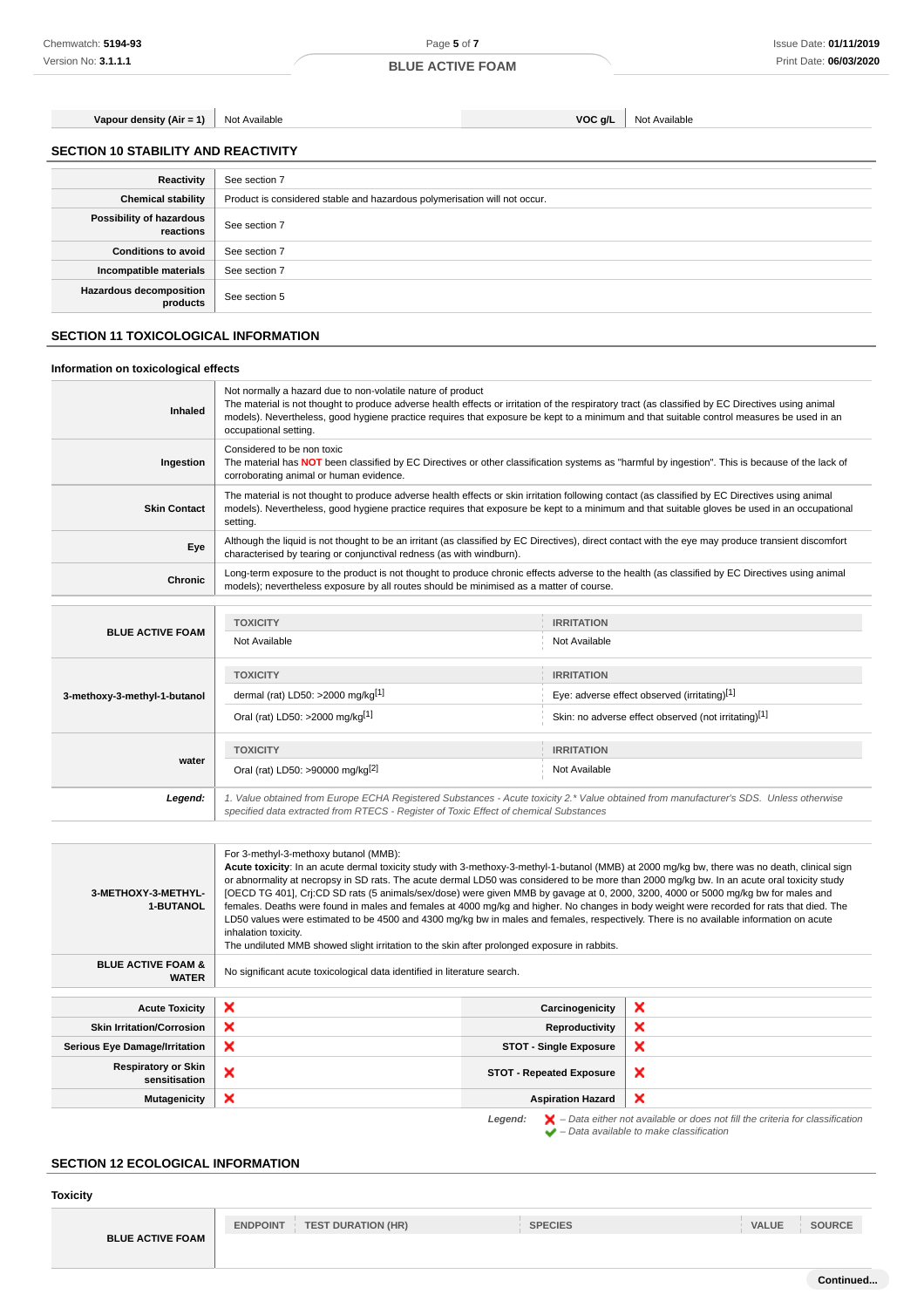**Vapour density (Air = 1)** Not Available **VOC g/L** Not Available **VOC g/L** Not Available

**SECTION 10 STABILITY AND REACTIVITY**

**Possibility of hazardous**

**Hazardous decomposition**

**Information on toxicological effects**

**Reactivity** See section 7

**reactions** See section 7

**products** See section 5

**Conditions to avoid** See section 7 **Incompatible materials** See section 7

**SECTION 11 TOXICOLOGICAL INFORMATION**

**Chemical stability** | Product is considered stable and hazardous polymerisation will not occur.

**BLUE ACTIVE FOAM**

Not normally a hazard due to non-volatile nature of product The material is not thought to produce adverse health effects or irritation of the respiratory tract (as classified by EC Directives using animal **Inhaled** models). Nevertheless, good hygiene practice requires that exposure be kept to a minimum and that suitable control measures be used in an occupational setting. Considered to be non toxic **Ingestion** The material has **NOT** been classified by EC Directives or other classification systems as "harmful by ingestion". This is because of the lack of corroborating animal or human evidence. The material is not thought to produce adverse health effects or skin irritation following contact (as classified by EC Directives using animal **Skin Contact** models). Nevertheless, good hygiene practice requires that exposure be kept to a minimum and that suitable gloves be used in an occupational setting. **Eve** Although the liquid is not thought to be an irritant (as classified by EC Directives), direct contact with the eye may produce transient discomfort characterised by tearing or conjunctival redness (as with windburn). **Chronic** Long-term exposure to the product is not thought to produce chronic effects adverse to the health (as classified by EC Directives using animal models); nevertheless exposure by all routes should be minimised as a matter of course. **TOXICITY IRRITATION BLUE ACTIVE FOAM** Not Available Not Available **TOXICITY IRRITATION** dermal (rat) LD50: >2000 mg/kg<sup>[1]</sup> eye: adverse effect observed (irritating)<sup>[1]</sup> **3-methoxy-3-methyl-1-butanol** Oral (rat) LD50: >2000 mg/kg<sup>[1]</sup> Skin: no adverse effect observed (not irritating)<sup>[1]</sup> **TOXICITY IRRITATION water** Oral (rat) LD50: >90000 mg/kg<sup>[2]</sup> Not Available **Legend:** 1. Value obtained from Europe ECHA Registered Substances - Acute toxicity 2.\* Value obtained from manufacturer's SDS. Unless otherwise specified data extracted from RTECS - Register of Toxic Effect of chemical Substances For 3-methyl-3-methoxy butanol (MMB): **Acute toxicity**: In an acute dermal toxicity study with 3-methoxy-3-methyl-1-butanol (MMB) at 2000 mg/kg bw, there was no death, clinical sign or abnormality at necropsy in SD rats. The acute dermal LD50 was considered to be more than 2000 mg/kg bw. In an acute oral toxicity study **3-METHOXY-3-METHYL-**[OECD TG 401], Crj:CD SD rats (5 animals/sex/dose) were given MMB by gavage at 0, 2000, 3200, 4000 or 5000 mg/kg bw for males and **1-BUTANOL** females. Deaths were found in males and females at 4000 mg/kg and higher. No changes in body weight were recorded for rats that died. The LD50 values were estimated to be 4500 and 4300 mg/kg bw in males and females, respectively. There is no available information on acute inhalation toxicity. The undiluted MMB showed slight irritation to the skin after prolonged exposure in rabbits. **BLUE ACTIVE FOAM & FUAM &** No significant acute toxicological data identified in literature search. **Acute Toxicity Carcinogenicity Carcinogenicity Skin Irritation/Corrosion X Reproductivity** × **Serious Eye Damage/Irritation STOT - Single Exposure** × **Respiratory or Skin story or SKIN**<br> **STOT - Repeated Exposure**<br> **STOT - Repeated Exposure** × **Mutagenicity Assumed Assumed Assumed Assumed Assumed Assumed Assumed Assumed Assumed Assumed Assumed Assumed Assumed Assumed Assumed Assumed Assumed Assumed Assumed Assumed Assumed Assumed Assumed Assumed Assumed Assume** Legend:  $\mathbf{X}$  – Data either not available or does not fill the criteria for classification – Data available to make classification **SECTION 12 ECOLOGICAL INFORMATION Toxicity ENDPOINT TEST DURATION (HR) SPECIES VALUE SOURCE BLUE ACTIVE FOAM Continued...**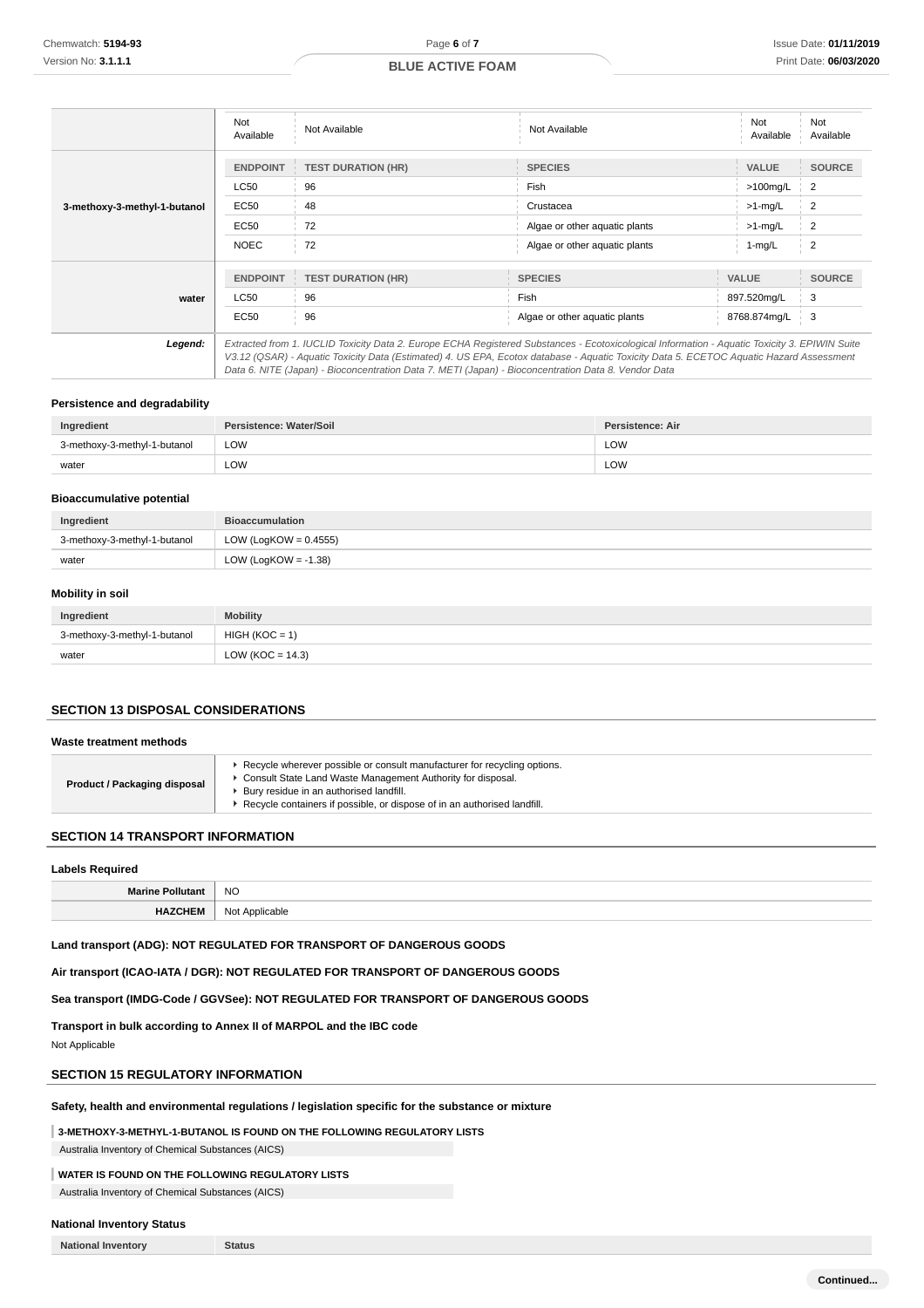|                              | Not<br>Available | Not Available                                                                                                                                                                                                                                                                                                                                                                                   | Not Available                 | Not<br>Available | Not<br>Available |
|------------------------------|------------------|-------------------------------------------------------------------------------------------------------------------------------------------------------------------------------------------------------------------------------------------------------------------------------------------------------------------------------------------------------------------------------------------------|-------------------------------|------------------|------------------|
|                              | <b>ENDPOINT</b>  | <b>TEST DURATION (HR)</b>                                                                                                                                                                                                                                                                                                                                                                       | <b>SPECIES</b>                | <b>VALUE</b>     | <b>SOURCE</b>    |
|                              | LC50             | 96                                                                                                                                                                                                                                                                                                                                                                                              | Fish                          | >100mg/L         | $\overline{2}$   |
| 3-methoxy-3-methyl-1-butanol | <b>EC50</b>      | 48                                                                                                                                                                                                                                                                                                                                                                                              | Crustacea                     | $>1$ -mg/L       | $\overline{2}$   |
|                              | <b>EC50</b>      | 72                                                                                                                                                                                                                                                                                                                                                                                              | Algae or other aquatic plants | $>1$ -mg/L       | $\overline{2}$   |
|                              | <b>NOEC</b>      | 72                                                                                                                                                                                                                                                                                                                                                                                              | Algae or other aquatic plants | $1 - mg/L$       | $\overline{2}$   |
|                              |                  |                                                                                                                                                                                                                                                                                                                                                                                                 |                               |                  |                  |
|                              | <b>ENDPOINT</b>  | <b>TEST DURATION (HR)</b>                                                                                                                                                                                                                                                                                                                                                                       | <b>SPECIES</b>                | <b>VALUE</b>     | <b>SOURCE</b>    |
| water                        | LC50             | 96                                                                                                                                                                                                                                                                                                                                                                                              | Fish                          | 897.520mg/L      | 3                |
|                              | EC50             | 96                                                                                                                                                                                                                                                                                                                                                                                              | Algae or other aquatic plants | 8768.874mg/L     | i 3              |
| Legend:                      |                  | Extracted from 1. IUCLID Toxicity Data 2. Europe ECHA Registered Substances - Ecotoxicological Information - Aquatic Toxicity 3. EPIWIN Suite<br>V3.12 (QSAR) - Aquatic Toxicity Data (Estimated) 4. US EPA, Ecotox database - Aquatic Toxicity Data 5. ECETOC Aquatic Hazard Assessment<br>Data 6. NITE (Japan) - Bioconcentration Data 7. METI (Japan) - Bioconcentration Data 8. Vendor Data |                               |                  |                  |

#### **Persistence and degradability**

| Ingredient                   | Persistence: Water/Soil | <b>Persistence: Air</b> |
|------------------------------|-------------------------|-------------------------|
| 3-methoxy-3-methyl-1-butanol | LOW                     | LOW                     |
| water                        | LOW                     | LOW                     |

## **Bioaccumulative potential**

| Ingredient                   | <b>Bioaccumulation</b>   |
|------------------------------|--------------------------|
| 3-methoxy-3-methyl-1-butanol | LOW (LogKOW = $0.4555$ ) |
| water                        | LOW (LogKOW = $-1.38$ )  |

### **Mobility in soil**

| Ingredient                   | <b>Mobility</b>      |
|------------------------------|----------------------|
| 3-methoxy-3-methyl-1-butanol | $HIGH (KOC = 1)$     |
| water                        | LOW ( $KOC = 14.3$ ) |

## **SECTION 13 DISPOSAL CONSIDERATIONS**

# **Waste treatment methods**

| Consult State Land Waste Management Authority for disposal.<br><b>Product / Packaging disposal</b><br>Bury residue in an authorised landfill.<br>▶ Recycle containers if possible, or dispose of in an authorised landfill. |
|-----------------------------------------------------------------------------------------------------------------------------------------------------------------------------------------------------------------------------|
|-----------------------------------------------------------------------------------------------------------------------------------------------------------------------------------------------------------------------------|

#### **SECTION 14 TRANSPORT INFORMATION**

#### **Labels Required**

| <b>Marine Po</b><br>тонн<br>utan | <b>NO</b>                   |
|----------------------------------|-----------------------------|
| . IV                             | Alo*<br>ıcahla<br>. .<br>__ |

## **Land transport (ADG): NOT REGULATED FOR TRANSPORT OF DANGEROUS GOODS**

**Air transport (ICAO-IATA / DGR): NOT REGULATED FOR TRANSPORT OF DANGEROUS GOODS**

# **Sea transport (IMDG-Code / GGVSee): NOT REGULATED FOR TRANSPORT OF DANGEROUS GOODS**

**Transport in bulk according to Annex II of MARPOL and the IBC code**

Not Applicable

# **SECTION 15 REGULATORY INFORMATION**

#### **Safety, health and environmental regulations / legislation specific for the substance or mixture**

**3-METHOXY-3-METHYL-1-BUTANOL IS FOUND ON THE FOLLOWING REGULATORY LISTS**

Australia Inventory of Chemical Substances (AICS)

# **WATER IS FOUND ON THE FOLLOWING REGULATORY LISTS**

Australia Inventory of Chemical Substances (AICS)

## **National Inventory Status**

**National Inventory Status**